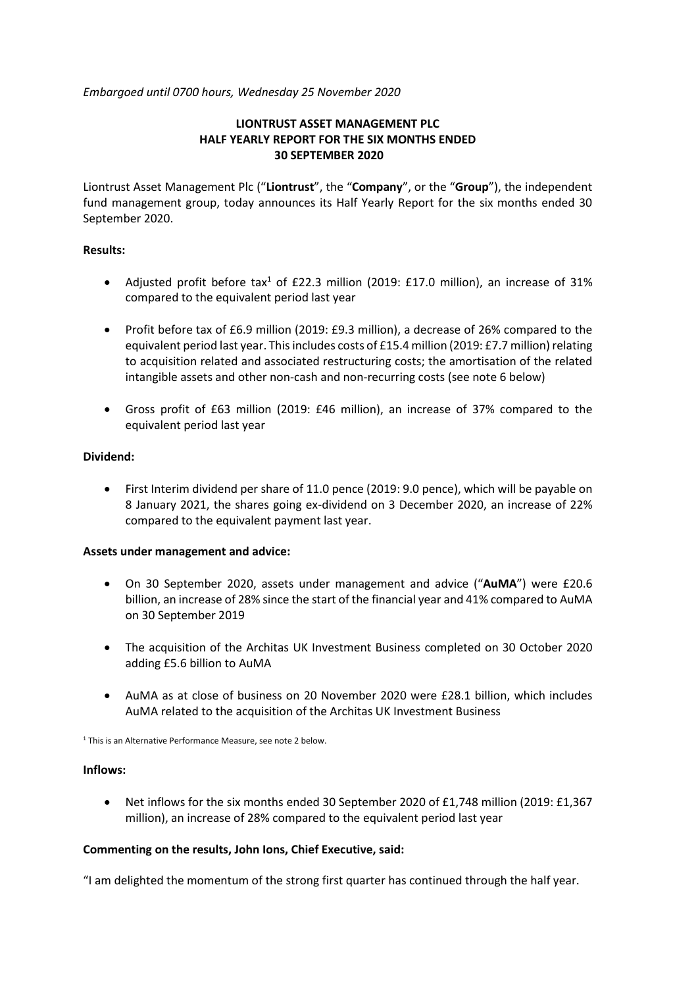*Embargoed until 0700 hours, Wednesday 25 November 2020*

# **LIONTRUST ASSET MANAGEMENT PLC HALF YEARLY REPORT FOR THE SIX MONTHS ENDED 30 SEPTEMBER 2020**

Liontrust Asset Management Plc ("**Liontrust**", the "**Company**", or the "**Group**"), the independent fund management group, today announces its Half Yearly Report for the six months ended 30 September 2020.

## **Results:**

- Adjusted profit before tax<sup>1</sup> of £22.3 million (2019: £17.0 million), an increase of 31% compared to the equivalent period last year
- Profit before tax of £6.9 million (2019: £9.3 million), a decrease of 26% compared to the equivalent period last year. This includes costs of £15.4 million (2019: £7.7 million) relating to acquisition related and associated restructuring costs; the amortisation of the related intangible assets and other non-cash and non-recurring costs (see note 6 below)
- Gross profit of £63 million (2019: £46 million), an increase of 37% compared to the equivalent period last year

# **Dividend:**

• First Interim dividend per share of 11.0 pence (2019: 9.0 pence), which will be payable on 8 January 2021, the shares going ex-dividend on 3 December 2020, an increase of 22% compared to the equivalent payment last year.

## **Assets under management and advice:**

- On 30 September 2020, assets under management and advice ("**AuMA**") were £20.6 billion, an increase of 28% since the start of the financial year and 41% compared to AuMA on 30 September 2019
- The acquisition of the Architas UK Investment Business completed on 30 October 2020 adding £5.6 billion to AuMA
- AuMA as at close of business on 20 November 2020 were £28.1 billion, which includes AuMA related to the acquisition of the Architas UK Investment Business

<sup>1</sup> This is an Alternative Performance Measure, see note 2 below.

## **Inflows:**

• Net inflows for the six months ended 30 September 2020 of £1,748 million (2019: £1,367) million), an increase of 28% compared to the equivalent period last year

## **Commenting on the results, John Ions, Chief Executive, said:**

"I am delighted the momentum of the strong first quarter has continued through the half year.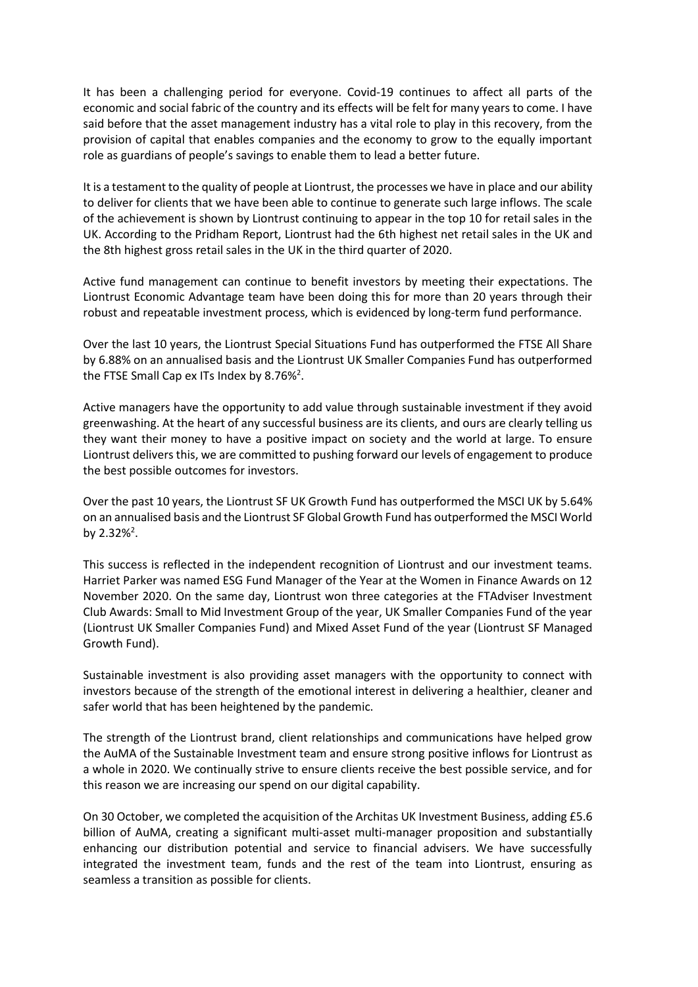It has been a challenging period for everyone. Covid-19 continues to affect all parts of the economic and social fabric of the country and its effects will be felt for many years to come. I have said before that the asset management industry has a vital role to play in this recovery, from the provision of capital that enables companies and the economy to grow to the equally important role as guardians of people's savings to enable them to lead a better future.

It is a testament to the quality of people at Liontrust, the processes we have in place and our ability to deliver for clients that we have been able to continue to generate such large inflows. The scale of the achievement is shown by Liontrust continuing to appear in the top 10 for retail sales in the UK. According to the Pridham Report, Liontrust had the 6th highest net retail sales in the UK and the 8th highest gross retail sales in the UK in the third quarter of 2020.

Active fund management can continue to benefit investors by meeting their expectations. The Liontrust Economic Advantage team have been doing this for more than 20 years through their robust and repeatable investment process, which is evidenced by long-term fund performance.

Over the last 10 years, the Liontrust Special Situations Fund has outperformed the FTSE All Share by 6.88% on an annualised basis and the Liontrust UK Smaller Companies Fund has outperformed the FTSE Small Cap ex ITs Index by 8.76%<sup>2</sup>.

Active managers have the opportunity to add value through sustainable investment if they avoid greenwashing. At the heart of any successful business are its clients, and ours are clearly telling us they want their money to have a positive impact on society and the world at large. To ensure Liontrust delivers this, we are committed to pushing forward our levels of engagement to produce the best possible outcomes for investors.

Over the past 10 years, the Liontrust SF UK Growth Fund has outperformed the MSCI UK by 5.64% on an annualised basis and the Liontrust SF Global Growth Fund has outperformed the MSCI World by 2.32%<sup>2</sup>.

This success is reflected in the independent recognition of Liontrust and our investment teams. Harriet Parker was named ESG Fund Manager of the Year at the Women in Finance Awards on 12 November 2020. On the same day, Liontrust won three categories at the FTAdviser Investment Club Awards: Small to Mid Investment Group of the year, UK Smaller Companies Fund of the year (Liontrust UK Smaller Companies Fund) and Mixed Asset Fund of the year (Liontrust SF Managed Growth Fund).

Sustainable investment is also providing asset managers with the opportunity to connect with investors because of the strength of the emotional interest in delivering a healthier, cleaner and safer world that has been heightened by the pandemic.

The strength of the Liontrust brand, client relationships and communications have helped grow the AuMA of the Sustainable Investment team and ensure strong positive inflows for Liontrust as a whole in 2020. We continually strive to ensure clients receive the best possible service, and for this reason we are increasing our spend on our digital capability.

On 30 October, we completed the acquisition of the Architas UK Investment Business, adding £5.6 billion of AuMA, creating a significant multi-asset multi-manager proposition and substantially enhancing our distribution potential and service to financial advisers. We have successfully integrated the investment team, funds and the rest of the team into Liontrust, ensuring as seamless a transition as possible for clients.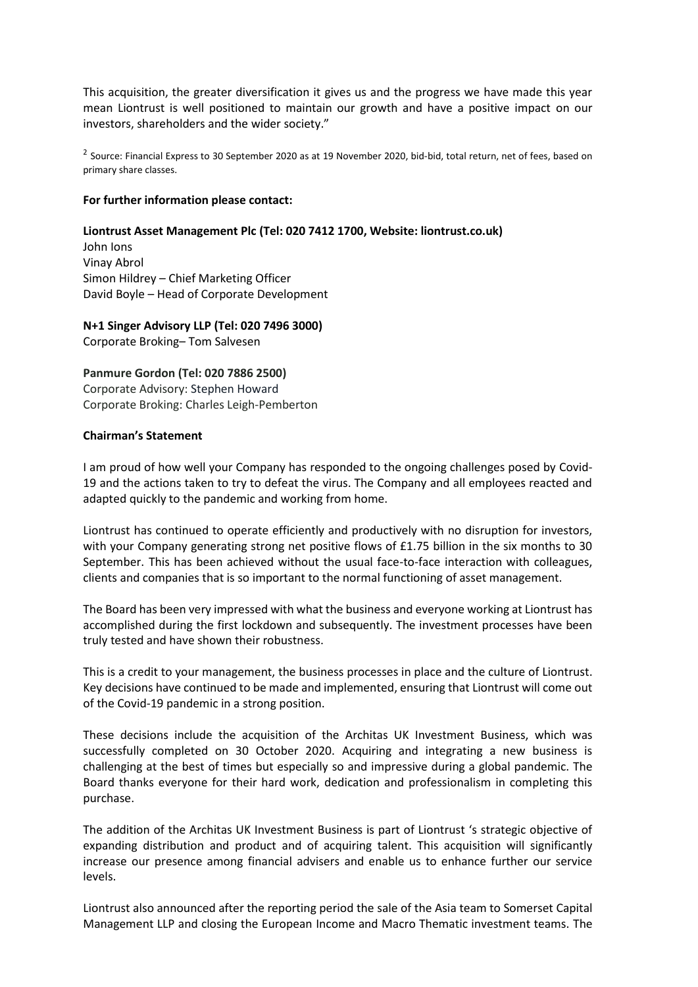This acquisition, the greater diversification it gives us and the progress we have made this year mean Liontrust is well positioned to maintain our growth and have a positive impact on our investors, shareholders and the wider society."

 $^2$  Source: Financial Express to 30 September 2020 as at 19 November 2020, bid-bid, total return, net of fees, based on primary share classes.

### **For further information please contact:**

### **Liontrust Asset Management Plc (Tel: 020 7412 1700, Website: liontrust.co.uk)**

John Ions Vinay Abrol Simon Hildrey – Chief Marketing Officer David Boyle – Head of Corporate Development

**N+1 Singer Advisory LLP (Tel: 020 7496 3000)** Corporate Broking– Tom Salvesen

**Panmure Gordon (Tel: 020 7886 2500)** Corporate Advisory: Stephen Howard Corporate Broking: Charles Leigh-Pemberton

### **Chairman's Statement**

I am proud of how well your Company has responded to the ongoing challenges posed by Covid-19 and the actions taken to try to defeat the virus. The Company and all employees reacted and adapted quickly to the pandemic and working from home.

Liontrust has continued to operate efficiently and productively with no disruption for investors, with your Company generating strong net positive flows of £1.75 billion in the six months to 30 September. This has been achieved without the usual face-to-face interaction with colleagues, clients and companies that is so important to the normal functioning of asset management.

The Board has been very impressed with what the business and everyone working at Liontrust has accomplished during the first lockdown and subsequently. The investment processes have been truly tested and have shown their robustness.

This is a credit to your management, the business processes in place and the culture of Liontrust. Key decisions have continued to be made and implemented, ensuring that Liontrust will come out of the Covid-19 pandemic in a strong position.

These decisions include the acquisition of the Architas UK Investment Business, which was successfully completed on 30 October 2020. Acquiring and integrating a new business is challenging at the best of times but especially so and impressive during a global pandemic. The Board thanks everyone for their hard work, dedication and professionalism in completing this purchase.

The addition of the Architas UK Investment Business is part of Liontrust 's strategic objective of expanding distribution and product and of acquiring talent. This acquisition will significantly increase our presence among financial advisers and enable us to enhance further our service levels.

Liontrust also announced after the reporting period the sale of the Asia team to Somerset Capital Management LLP and closing the European Income and Macro Thematic investment teams. The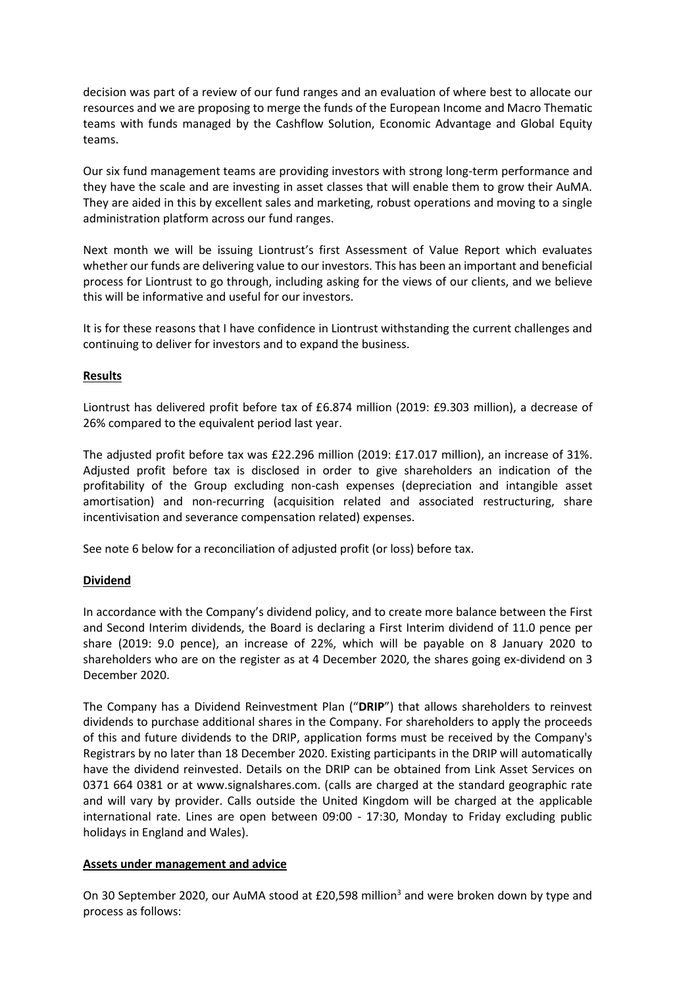decision was part of a review of our fund ranges and an evaluation of where best to allocate our resources and we are proposing to merge the funds of the European Income and Macro Thematic teams with funds managed by the Cashflow Solution, Economic Advantage and Global Equity teams.

Our six fund management teams are providing investors with strong long-term performance and they have the scale and are investing in asset classes that will enable them to grow their AuMA. They are aided in this by excellent sales and marketing, robust operations and moving to a single administration platform across our fund ranges.

Next month we will be issuing Liontrust's first Assessment of Value Report which evaluates whether our funds are delivering value to our investors. This has been an important and beneficial process for Liontrust to go through, including asking for the views of our clients, and we believe this will be informative and useful for our investors.

It is for these reasons that I have confidence in Liontrust withstanding the current challenges and continuing to deliver for investors and to expand the business.

## **Results**

Liontrust has delivered profit before tax of £6.874 million (2019: £9.303 million), a decrease of 26% compared to the equivalent period last year.

The adjusted profit before tax was £22.296 million (2019: £17.017 million), an increase of 31%. Adjusted profit before tax is disclosed in order to give shareholders an indication of the profitability of the Group excluding non-cash expenses (depreciation and intangible asset amortisation) and non-recurring (acquisition related and associated restructuring, share incentivisation and severance compensation related) expenses.

See note 6 below for a reconciliation of adjusted profit (or loss) before tax.

## **Dividend**

In accordance with the Company's dividend policy, and to create more balance between the First and Second Interim dividends, the Board is declaring a First Interim dividend of 11.0 pence per share (2019: 9.0 pence), an increase of 22%, which will be payable on 8 January 2020 to shareholders who are on the register as at 4 December 2020, the shares going ex-dividend on 3 December 2020.

The Company has a Dividend Reinvestment Plan ("**DRIP**") that allows shareholders to reinvest dividends to purchase additional shares in the Company. For shareholders to apply the proceeds of this and future dividends to the DRIP, application forms must be received by the Company's Registrars by no later than 18 December 2020. Existing participants in the DRIP will automatically have the dividend reinvested. Details on the DRIP can be obtained from Link Asset Services on 0371 664 0381 or at www.signalshares.com. (calls are charged at the standard geographic rate and will vary by provider. Calls outside the United Kingdom will be charged at the applicable international rate. Lines are open between 09:00 - 17:30, Monday to Friday excluding public holidays in England and Wales).

## **Assets under management and advice**

On 30 September 2020, our AuMA stood at £20,598 million<sup>3</sup> and were broken down by type and process as follows: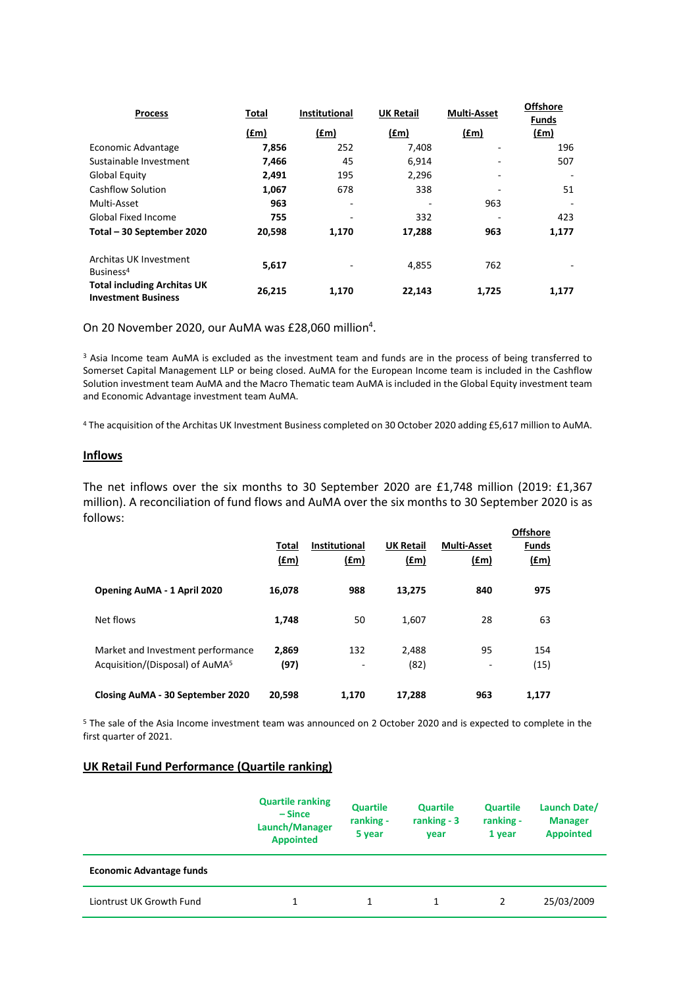| <b>Process</b>                                                   | Total  | <b>Institutional</b> | <b>UK Retail</b> | <b>Multi-Asset</b> | <b>Offshore</b><br><b>Funds</b> |
|------------------------------------------------------------------|--------|----------------------|------------------|--------------------|---------------------------------|
|                                                                  | (fm)   | (fm)                 | (fm)             | (fm)               | (fm)                            |
| Economic Advantage                                               | 7,856  | 252                  | 7,408            |                    | 196                             |
| Sustainable Investment                                           | 7,466  | 45                   | 6,914            |                    | 507                             |
| <b>Global Equity</b>                                             | 2,491  | 195                  | 2,296            |                    |                                 |
| Cashflow Solution                                                | 1,067  | 678                  | 338              |                    | 51                              |
| Multi-Asset                                                      | 963    | ٠                    |                  | 963                |                                 |
| <b>Global Fixed Income</b>                                       | 755    |                      | 332              |                    | 423                             |
| Total - 30 September 2020                                        | 20,598 | 1,170                | 17,288           | 963                | 1,177                           |
| Architas UK Investment<br>Business <sup>4</sup>                  | 5,617  |                      | 4,855            | 762                |                                 |
| <b>Total including Architas UK</b><br><b>Investment Business</b> | 26,215 | 1,170                | 22,143           | 1,725              | 1,177                           |

On 20 November 2020, our AuMA was £28,060 million<sup>4</sup>.

<sup>3</sup> Asia Income team AuMA is excluded as the investment team and funds are in the process of being transferred to Somerset Capital Management LLP or being closed. AuMA for the European Income team is included in the Cashflow Solution investment team AuMA and the Macro Thematic team AuMA is included in the Global Equity investment team and Economic Advantage investment team AuMA.

<sup>4</sup> The acquisition of the Architas UK Investment Business completed on 30 October 2020 adding £5,617 million to AuMA.

## **Inflows**

The net inflows over the six months to 30 September 2020 are £1,748 million (2019: £1,367 million). A reconciliation of fund flows and AuMA over the six months to 30 September 2020 is as follows:

|                                                                                  | Total<br>$(\text{fm})$ | <b>Institutional</b><br><u>(£m)</u> | <b>UK Retail</b><br>(f.m) | <b>Multi-Asset</b><br>(fm)     | <b>Offshore</b><br>Funds<br>$(\text{fm})$ |
|----------------------------------------------------------------------------------|------------------------|-------------------------------------|---------------------------|--------------------------------|-------------------------------------------|
| Opening AuMA - 1 April 2020                                                      | 16,078                 | 988                                 | 13.275                    | 840                            | 975                                       |
| Net flows                                                                        | 1.748                  | 50                                  | 1,607                     | 28                             | 63                                        |
| Market and Investment performance<br>Acquisition/(Disposal) of AuMA <sup>5</sup> | 2,869<br>(97)          | 132<br>۰                            | 2.488<br>(82)             | 95<br>$\overline{\phantom{a}}$ | 154<br>(15)                               |
| Closing AuMA - 30 September 2020                                                 | 20,598                 | 1.170                               | 17,288                    | 963                            | 1,177                                     |

<sup>5</sup> The sale of the Asia Income investment team was announced on 2 October 2020 and is expected to complete in the first quarter of 2021.

### **UK Retail Fund Performance (Quartile ranking)**

|                                 | <b>Quartile ranking</b><br>– Since<br>Launch/Manager<br><b>Appointed</b> |  | <b>Quartile</b><br>ranking $-3$<br>year | <b>Quartile</b><br>ranking -<br>1 year | Launch Date/<br><b>Manager</b><br><b>Appointed</b> |
|---------------------------------|--------------------------------------------------------------------------|--|-----------------------------------------|----------------------------------------|----------------------------------------------------|
| <b>Economic Advantage funds</b> |                                                                          |  |                                         |                                        |                                                    |
| Liontrust UK Growth Fund        | 1                                                                        |  |                                         | 2                                      | 25/03/2009                                         |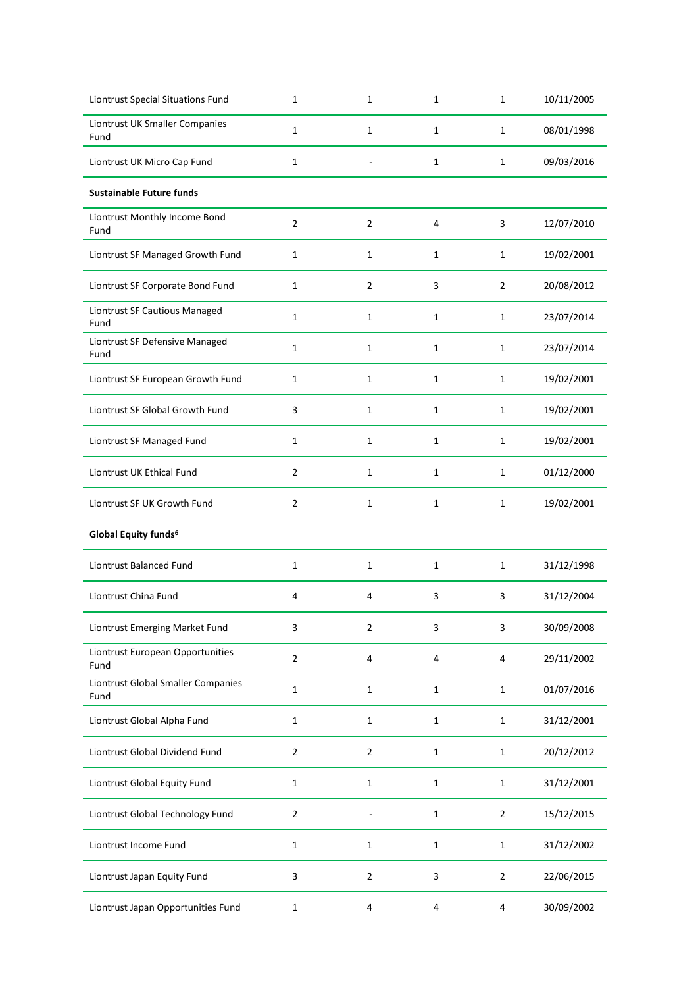| Liontrust Special Situations Fund          | 1              | 1              | 1            | 1              | 10/11/2005 |
|--------------------------------------------|----------------|----------------|--------------|----------------|------------|
| Liontrust UK Smaller Companies<br>Fund     | 1              | $\mathbf{1}$   | 1            | $\mathbf{1}$   | 08/01/1998 |
| Liontrust UK Micro Cap Fund                | $\mathbf{1}$   |                | 1            | $\mathbf{1}$   | 09/03/2016 |
| <b>Sustainable Future funds</b>            |                |                |              |                |            |
| Liontrust Monthly Income Bond<br>Fund      | $\overline{2}$ | $\overline{2}$ | 4            | 3              | 12/07/2010 |
| Liontrust SF Managed Growth Fund           | 1              | $\mathbf{1}$   | 1            | 1              | 19/02/2001 |
| Liontrust SF Corporate Bond Fund           | $\mathbf 1$    | $\overline{2}$ | 3            | $\overline{2}$ | 20/08/2012 |
| Liontrust SF Cautious Managed<br>Fund      | 1              | $\mathbf{1}$   | 1            | 1              | 23/07/2014 |
| Liontrust SF Defensive Managed<br>Fund     | 1              | $\mathbf{1}$   | 1            | $\mathbf{1}$   | 23/07/2014 |
| Liontrust SF European Growth Fund          | 1              | $\mathbf{1}$   | 1            | 1              | 19/02/2001 |
| Liontrust SF Global Growth Fund            | 3              | $\mathbf{1}$   | $\mathbf{1}$ | $\mathbf{1}$   | 19/02/2001 |
| Liontrust SF Managed Fund                  | $\mathbf 1$    | $\mathbf{1}$   | 1            | $\mathbf{1}$   | 19/02/2001 |
| Liontrust UK Ethical Fund                  | $\overline{2}$ | 1              | 1            | $\mathbf{1}$   | 01/12/2000 |
| Liontrust SF UK Growth Fund                | 2              | 1              | 1            | $\mathbf{1}$   | 19/02/2001 |
| Global Equity funds <sup>6</sup>           |                |                |              |                |            |
| Liontrust Balanced Fund                    | $\mathbf 1$    | 1              | 1            | $\mathbf{1}$   | 31/12/1998 |
| Liontrust China Fund                       | 4              | 4              | 3            | 3              | 31/12/2004 |
| Liontrust Emerging Market Fund             | 3              | $\overline{2}$ | 3            | 3              | 30/09/2008 |
| Liontrust European Opportunities<br>Fund   | $\overline{2}$ | 4              | 4            | $\overline{4}$ | 29/11/2002 |
| Liontrust Global Smaller Companies<br>Fund | $\mathbf 1$    | $\mathbf 1$    | $\mathbf{1}$ | $\mathbf{1}$   | 01/07/2016 |
| Liontrust Global Alpha Fund                | $\mathbf{1}$   | $\mathbf{1}$   | 1            | $\mathbf{1}$   | 31/12/2001 |
| Liontrust Global Dividend Fund             | $\overline{2}$ | $\overline{2}$ | 1            | $\mathbf{1}$   | 20/12/2012 |
| Liontrust Global Equity Fund               | 1              | 1              | 1            | 1              | 31/12/2001 |
| Liontrust Global Technology Fund           | $\sqrt{2}$     |                | 1            | $\overline{2}$ | 15/12/2015 |
| Liontrust Income Fund                      | $\mathbf 1$    | $\mathbf 1$    | 1            | $\mathbf{1}$   | 31/12/2002 |
| Liontrust Japan Equity Fund                | 3              | $\overline{2}$ | 3            | $\overline{2}$ | 22/06/2015 |
| Liontrust Japan Opportunities Fund         | 1              | 4              | 4            | 4              | 30/09/2002 |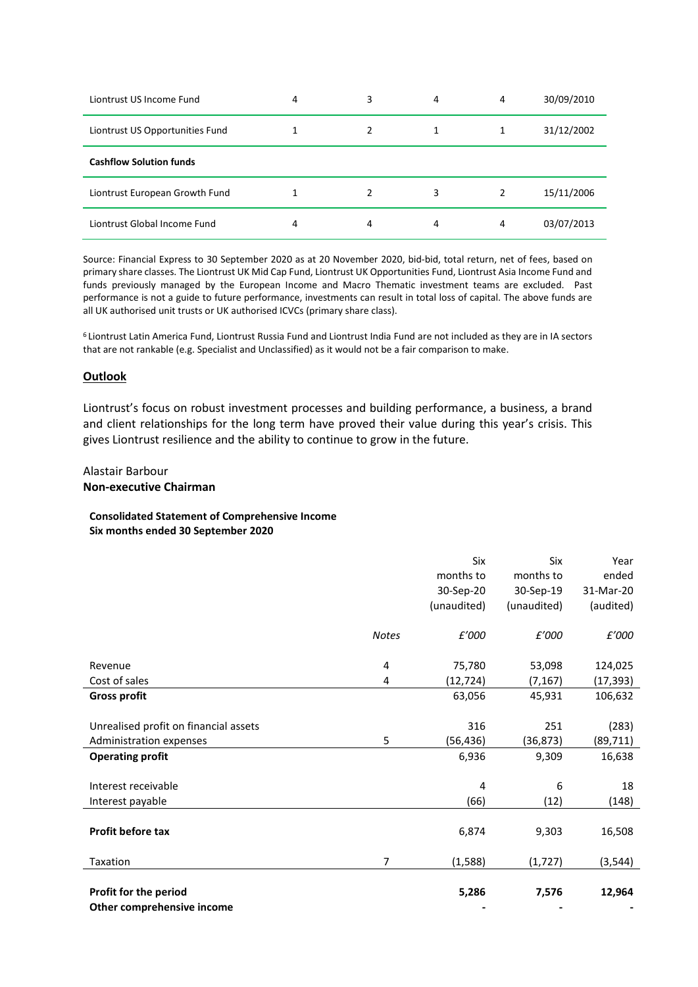| Liontrust US Income Fund        | 4 | 3 | 4 | 4 | 30/09/2010 |
|---------------------------------|---|---|---|---|------------|
| Liontrust US Opportunities Fund |   |   |   |   | 31/12/2002 |
| <b>Cashflow Solution funds</b>  |   |   |   |   |            |
| Liontrust European Growth Fund  |   | 2 | 3 |   | 15/11/2006 |
| Liontrust Global Income Fund    | 4 | 4 | 4 | 4 | 03/07/2013 |

Source: Financial Express to 30 September 2020 as at 20 November 2020, bid-bid, total return, net of fees, based on primary share classes. The Liontrust UK Mid Cap Fund, Liontrust UK Opportunities Fund, Liontrust Asia Income Fund and funds previously managed by the European Income and Macro Thematic investment teams are excluded. Past performance is not a guide to future performance, investments can result in total loss of capital. The above funds are all UK authorised unit trusts or UK authorised ICVCs (primary share class).

<sup>6</sup> Liontrust Latin America Fund, Liontrust Russia Fund and Liontrust India Fund are not included as they are in IA sectors that are not rankable (e.g. Specialist and Unclassified) as it would not be a fair comparison to make.

### **Outlook**

Liontrust's focus on robust investment processes and building performance, a business, a brand and client relationships for the long term have proved their value during this year's crisis. This gives Liontrust resilience and the ability to continue to grow in the future.

# Alastair Barbour

### **Non-executive Chairman**

## **Consolidated Statement of Comprehensive Income Six months ended 30 September 2020**

|                                       |                | Six         | Six         | Year      |
|---------------------------------------|----------------|-------------|-------------|-----------|
|                                       |                | months to   | months to   | ended     |
|                                       |                | 30-Sep-20   | 30-Sep-19   | 31-Mar-20 |
|                                       |                | (unaudited) | (unaudited) | (audited) |
|                                       |                |             |             |           |
|                                       | <b>Notes</b>   | £'000       | £'000       | £'000     |
|                                       |                |             |             |           |
| Revenue                               | 4              | 75,780      | 53,098      | 124,025   |
| Cost of sales                         | 4              | (12, 724)   | (7, 167)    | (17, 393) |
| <b>Gross profit</b>                   |                | 63,056      | 45,931      | 106,632   |
|                                       |                |             |             |           |
| Unrealised profit on financial assets |                | 316         | 251         | (283)     |
| Administration expenses               | 5              | (56, 436)   | (36, 873)   | (89, 711) |
| <b>Operating profit</b>               |                | 6,936       | 9,309       | 16,638    |
|                                       |                |             |             |           |
| Interest receivable                   |                | 4           | 6           | 18        |
| Interest payable                      |                | (66)        | (12)        | (148)     |
|                                       |                |             |             |           |
| Profit before tax                     |                | 6,874       | 9,303       | 16,508    |
|                                       |                |             |             |           |
| Taxation                              | $\overline{7}$ | (1,588)     | (1, 727)    | (3, 544)  |
|                                       |                |             |             |           |
| Profit for the period                 |                | 5,286       | 7,576       | 12,964    |
| Other comprehensive income            |                |             |             |           |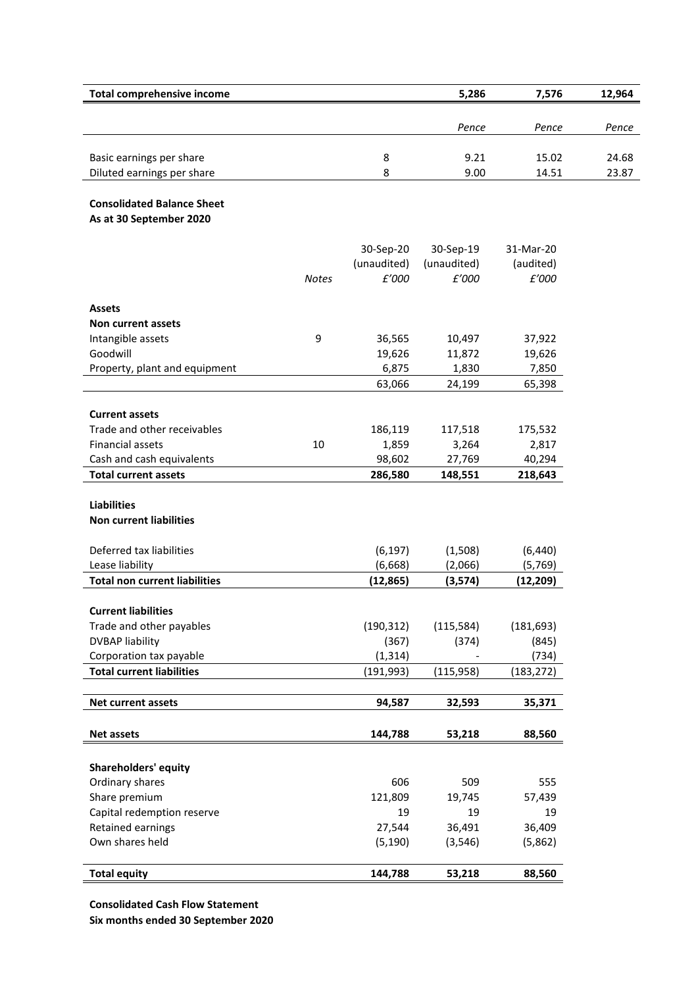| <b>Total comprehensive income</b>                            |              |                   | 5,286             | 7,576             | 12,964 |
|--------------------------------------------------------------|--------------|-------------------|-------------------|-------------------|--------|
|                                                              |              |                   | Pence             | Pence             | Pence  |
|                                                              |              |                   |                   |                   |        |
| Basic earnings per share                                     |              | 8                 | 9.21              | 15.02             | 24.68  |
| Diluted earnings per share                                   |              | 8                 | 9.00              | 14.51             | 23.87  |
|                                                              |              |                   |                   |                   |        |
| <b>Consolidated Balance Sheet</b><br>As at 30 September 2020 |              |                   |                   |                   |        |
|                                                              |              |                   |                   |                   |        |
|                                                              |              | 30-Sep-20         | 30-Sep-19         | 31-Mar-20         |        |
|                                                              |              | (unaudited)       | (unaudited)       | (audited)         |        |
|                                                              | <b>Notes</b> | £'000             | £'000             | £'000             |        |
| <b>Assets</b>                                                |              |                   |                   |                   |        |
| Non current assets                                           |              |                   |                   |                   |        |
| Intangible assets                                            | 9            | 36,565            | 10,497            | 37,922            |        |
| Goodwill                                                     |              | 19,626            | 11,872            | 19,626            |        |
| Property, plant and equipment                                |              | 6,875             | 1,830             | 7,850             |        |
|                                                              |              | 63,066            | 24,199            | 65,398            |        |
|                                                              |              |                   |                   |                   |        |
| <b>Current assets</b>                                        |              |                   |                   |                   |        |
| Trade and other receivables                                  |              | 186,119           | 117,518           | 175,532           |        |
| Financial assets                                             | 10           | 1,859             | 3,264             | 2,817             |        |
| Cash and cash equivalents<br><b>Total current assets</b>     |              | 98,602<br>286,580 | 27,769<br>148,551 | 40,294<br>218,643 |        |
|                                                              |              |                   |                   |                   |        |
| <b>Liabilities</b>                                           |              |                   |                   |                   |        |
| <b>Non current liabilities</b>                               |              |                   |                   |                   |        |
| Deferred tax liabilities                                     |              | (6, 197)          | (1,508)           | (6, 440)          |        |
| Lease liability                                              |              | (6, 668)          | (2,066)           | (5,769)           |        |
| <b>Total non current liabilities</b>                         |              | (12, 865)         | (3,574)           | (12, 209)         |        |
|                                                              |              |                   |                   |                   |        |
| <b>Current liabilities</b><br>Trade and other payables       |              | (190, 312)        | (115, 584)        | (181, 693)        |        |
| <b>DVBAP liability</b>                                       |              | (367)             | (374)             | (845)             |        |
| Corporation tax payable                                      |              | (1, 314)          |                   | (734)             |        |
| <b>Total current liabilities</b>                             |              | (191, 993)        | (115, 958)        | (183, 272)        |        |
|                                                              |              |                   |                   |                   |        |
| <b>Net current assets</b>                                    |              | 94,587            | 32,593            | 35,371            |        |
| <b>Net assets</b>                                            |              | 144,788           | 53,218            | 88,560            |        |
|                                                              |              |                   |                   |                   |        |
| <b>Shareholders' equity</b>                                  |              |                   |                   |                   |        |
| Ordinary shares                                              |              | 606               | 509               | 555               |        |
| Share premium                                                |              | 121,809           | 19,745            | 57,439            |        |
| Capital redemption reserve                                   |              | 19                | 19                | 19                |        |
| Retained earnings                                            |              | 27,544            | 36,491            | 36,409            |        |
| Own shares held                                              |              | (5, 190)          | (3, 546)          | (5,862)           |        |
|                                                              |              |                   |                   |                   |        |

**Consolidated Cash Flow Statement**

**Six months ended 30 September 2020**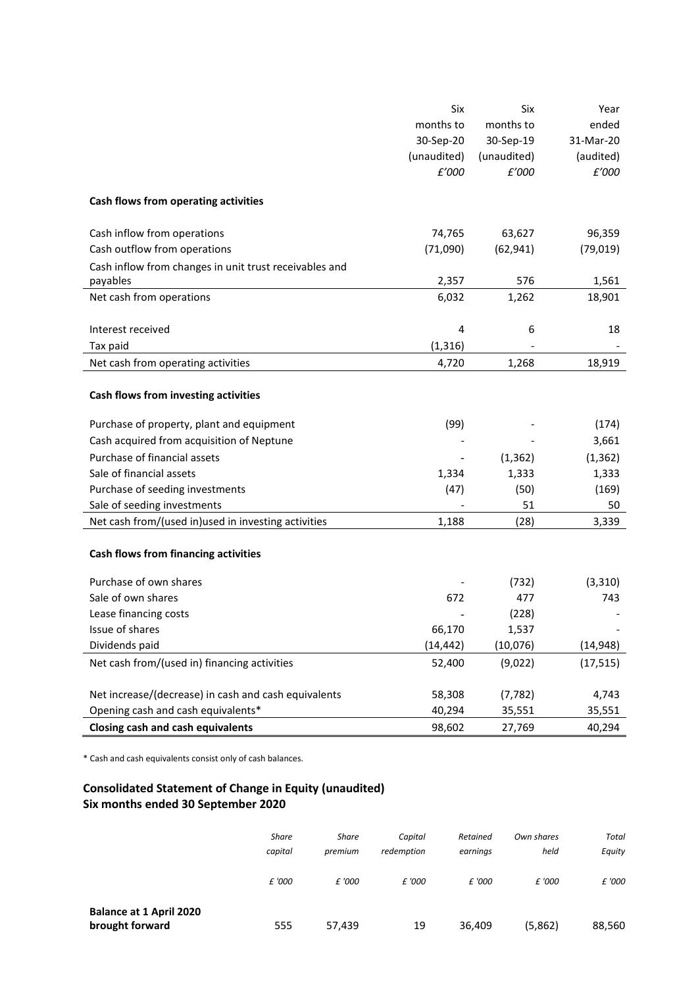|                                                        | Six         | Six         | Year      |
|--------------------------------------------------------|-------------|-------------|-----------|
|                                                        | months to   | months to   | ended     |
|                                                        | 30-Sep-20   | 30-Sep-19   | 31-Mar-20 |
|                                                        | (unaudited) | (unaudited) | (audited) |
|                                                        | £'000       | £'000       | £'000     |
| Cash flows from operating activities                   |             |             |           |
| Cash inflow from operations                            | 74,765      | 63,627      | 96,359    |
| Cash outflow from operations                           | (71,090)    | (62, 941)   | (79, 019) |
| Cash inflow from changes in unit trust receivables and |             |             |           |
| payables                                               | 2,357       | 576         | 1,561     |
| Net cash from operations                               | 6,032       | 1,262       | 18,901    |
|                                                        |             |             |           |
| Interest received                                      | 4           | 6           | 18        |
| Tax paid                                               | (1, 316)    |             |           |
| Net cash from operating activities                     | 4,720       | 1,268       | 18,919    |
| Cash flows from investing activities                   |             |             |           |
| Purchase of property, plant and equipment              | (99)        |             | (174)     |
| Cash acquired from acquisition of Neptune              |             |             | 3,661     |
| Purchase of financial assets                           |             | (1, 362)    | (1, 362)  |
| Sale of financial assets                               | 1,334       | 1,333       | 1,333     |
| Purchase of seeding investments                        | (47)        | (50)        | (169)     |
| Sale of seeding investments                            |             | 51          | 50        |
| Net cash from/(used in)used in investing activities    | 1,188       | (28)        | 3,339     |
| <b>Cash flows from financing activities</b>            |             |             |           |
| Purchase of own shares                                 |             | (732)       | (3, 310)  |
| Sale of own shares                                     | 672         | 477         | 743       |
| Lease financing costs                                  |             | (228)       |           |
| Issue of shares                                        | 66,170      | 1,537       |           |
| Dividends paid                                         | (14, 442)   | (10,076)    | (14, 948) |
| Net cash from/(used in) financing activities           | 52,400      | (9,022)     | (17, 515) |
|                                                        |             |             |           |
| Net increase/(decrease) in cash and cash equivalents   | 58,308      | (7, 782)    | 4,743     |
| Opening cash and cash equivalents*                     | 40,294      | 35,551      | 35,551    |
| <b>Closing cash and cash equivalents</b>               | 98,602      | 27,769      | 40,294    |

\* Cash and cash equivalents consist only of cash balances.

# **Consolidated Statement of Change in Equity (unaudited) Six months ended 30 September 2020**

|                                                   | Share<br>capital | <b>Share</b><br>premium | Capital<br>redemption | Retained<br>earnings | Own shares<br>held | <b>Total</b><br>Equity |
|---------------------------------------------------|------------------|-------------------------|-----------------------|----------------------|--------------------|------------------------|
|                                                   | £ '000           | £ '000                  | £ '000                | £ '000               | £ '000             | £ '000                 |
| <b>Balance at 1 April 2020</b><br>brought forward | 555              | 57,439                  | 19                    | 36,409               | (5,862)            | 88,560                 |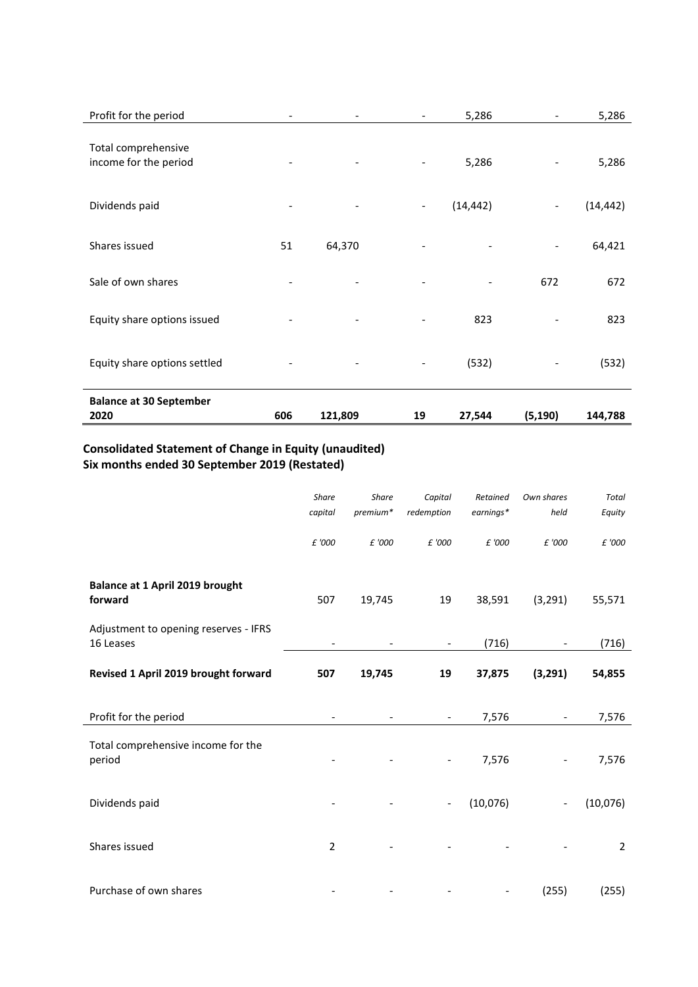| Profit for the period                        |                          |         |                          | 5,286     |                              | 5,286     |
|----------------------------------------------|--------------------------|---------|--------------------------|-----------|------------------------------|-----------|
| Total comprehensive<br>income for the period |                          |         | $\overline{\phantom{a}}$ | 5,286     |                              | 5,286     |
| Dividends paid                               | $\overline{\phantom{a}}$ |         | $\overline{\phantom{a}}$ | (14, 442) | $\overline{\phantom{a}}$     | (14, 442) |
| Shares issued                                | 51                       | 64,370  |                          |           | $\qquad \qquad \blacksquare$ | 64,421    |
| Sale of own shares                           |                          |         |                          |           | 672                          | 672       |
| Equity share options issued                  |                          |         | -                        | 823       |                              | 823       |
| Equity share options settled                 |                          |         | $\overline{\phantom{a}}$ | (532)     |                              | (532)     |
| <b>Balance at 30 September</b><br>2020       | 606                      | 121,809 | 19                       | 27,544    | (5, 190)                     | 144,788   |

# **Consolidated Statement of Change in Equity (unaudited) Six months ended 30 September 2019 (Restated)**

|                                                    | Share<br>capital         | Share<br>premium* | Capital<br>redemption        | Retained<br>$earnings*$  | Own shares<br>held       | <b>Total</b><br>Equity |
|----------------------------------------------------|--------------------------|-------------------|------------------------------|--------------------------|--------------------------|------------------------|
|                                                    | £ '000                   | £ '000            | £ '000                       | £ '000                   | £ '000                   | £ '000                 |
| Balance at 1 April 2019 brought<br>forward         | 507                      | 19,745            | 19                           | 38,591                   | (3, 291)                 | 55,571                 |
| Adjustment to opening reserves - IFRS<br>16 Leases | $\overline{\phantom{a}}$ |                   | $\qquad \qquad \blacksquare$ | (716)                    |                          | (716)                  |
| Revised 1 April 2019 brought forward               | 507                      | 19,745            | 19                           | 37,875                   | (3, 291)                 | 54,855                 |
| Profit for the period                              |                          |                   | $\overline{\phantom{a}}$     | 7,576                    | $\overline{\phantom{a}}$ | 7,576                  |
| Total comprehensive income for the<br>period       |                          |                   | $\overline{\phantom{a}}$     | 7,576                    |                          | 7,576                  |
| Dividends paid                                     |                          |                   | $\overline{\phantom{a}}$     | (10,076)                 | $\overline{\phantom{a}}$ | (10,076)               |
| Shares issued                                      | $\overline{2}$           |                   |                              |                          |                          | $\overline{2}$         |
| Purchase of own shares                             |                          |                   |                              | $\overline{\phantom{a}}$ | (255)                    | (255)                  |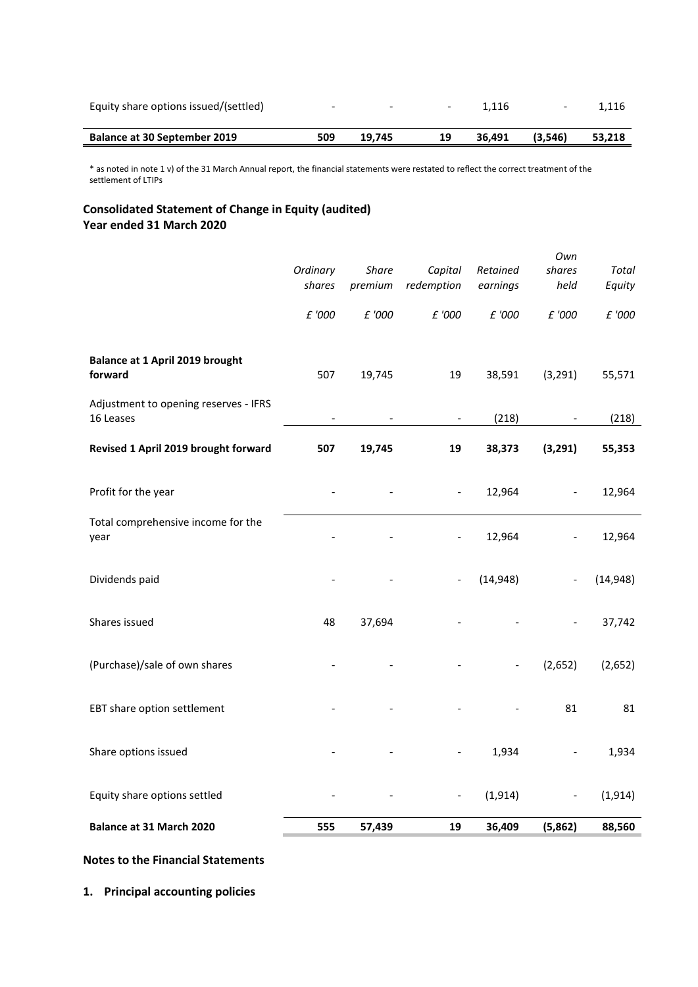| Equity share options issued/(settled) | -   | $\overline{\phantom{0}}$ | -  | 1.116  | $\overline{\phantom{0}}$ | 1.116  |
|---------------------------------------|-----|--------------------------|----|--------|--------------------------|--------|
| <b>Balance at 30 September 2019</b>   | 509 | 19.745                   | 19 | 36.491 | (3.546)                  | 53,218 |

\* as noted in note 1 v) of the 31 March Annual report, the financial statements were restated to reflect the correct treatment of the settlement of LTIPs

# **Consolidated Statement of Change in Equity (audited) Year ended 31 March 2020**

| Ordinary<br><b>Share</b><br>Capital<br>Retained<br>shares<br>premium<br>redemption<br>earnings<br>£ '000<br>£ '000<br>£ '000<br>£ '000<br>Balance at 1 April 2019 brought<br>forward<br>507<br>19<br>38,591<br>(3, 291)<br>19,745<br>Adjustment to opening reserves - IFRS | shares<br>Total<br>held<br>Equity<br>£ '000<br>£ '000<br>55,571 |
|----------------------------------------------------------------------------------------------------------------------------------------------------------------------------------------------------------------------------------------------------------------------------|-----------------------------------------------------------------|
|                                                                                                                                                                                                                                                                            |                                                                 |
|                                                                                                                                                                                                                                                                            |                                                                 |
|                                                                                                                                                                                                                                                                            |                                                                 |
|                                                                                                                                                                                                                                                                            |                                                                 |
|                                                                                                                                                                                                                                                                            |                                                                 |
|                                                                                                                                                                                                                                                                            |                                                                 |
| 16 Leases<br>(218)<br>$\overline{\phantom{a}}$                                                                                                                                                                                                                             | (218)                                                           |
| Revised 1 April 2019 brought forward<br>507<br>19,745<br>19<br>38,373<br>(3,291)                                                                                                                                                                                           | 55,353                                                          |
| Profit for the year<br>12,964<br>$\blacksquare$                                                                                                                                                                                                                            | 12,964<br>$\overline{\phantom{a}}$                              |
| Total comprehensive income for the<br>12,964<br>year<br>$\overline{\phantom{0}}$                                                                                                                                                                                           | 12,964                                                          |
| Dividends paid<br>(14, 948)                                                                                                                                                                                                                                                | (14, 948)                                                       |
| Shares issued<br>48<br>37,694                                                                                                                                                                                                                                              | 37,742                                                          |
| (Purchase)/sale of own shares<br>(2,652)<br>$\frac{1}{2}$                                                                                                                                                                                                                  | (2,652)                                                         |
| EBT share option settlement                                                                                                                                                                                                                                                | 81<br>81                                                        |
| Share options issued<br>1,934                                                                                                                                                                                                                                              | 1,934                                                           |
| Equity share options settled<br>(1, 914)<br>$\qquad \qquad \blacksquare$                                                                                                                                                                                                   | (1, 914)                                                        |
| Balance at 31 March 2020<br>555<br>19<br>36,409<br>(5,862)<br>57,439                                                                                                                                                                                                       | 88,560                                                          |

# **Notes to the Financial Statements**

**1. Principal accounting policies**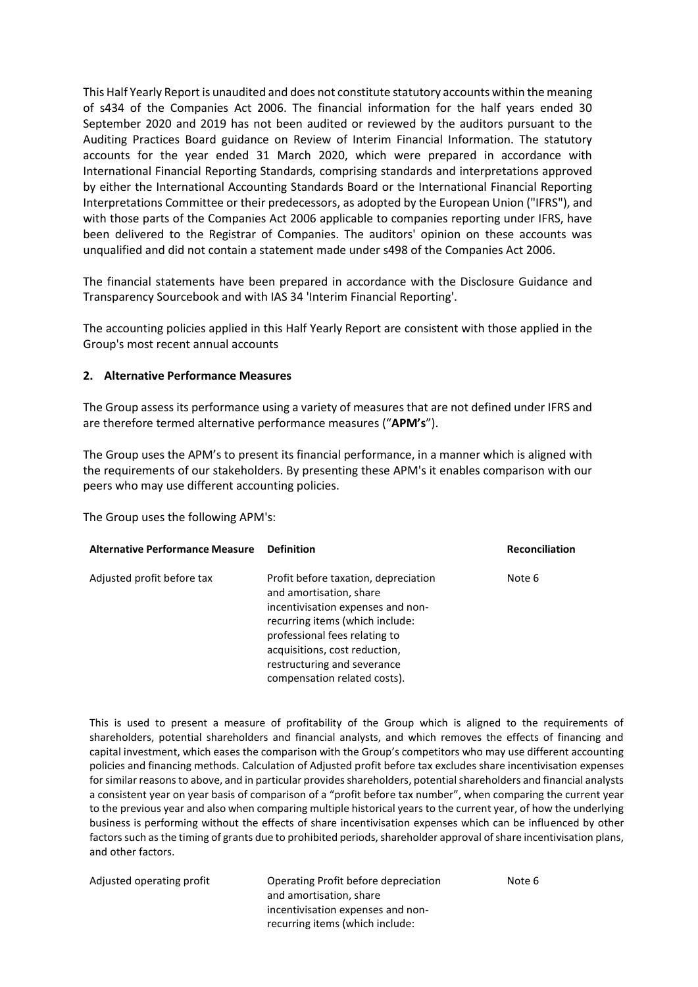This Half Yearly Report is unaudited and does not constitute statutory accounts within the meaning of s434 of the Companies Act 2006. The financial information for the half years ended 30 September 2020 and 2019 has not been audited or reviewed by the auditors pursuant to the Auditing Practices Board guidance on Review of Interim Financial Information. The statutory accounts for the year ended 31 March 2020, which were prepared in accordance with International Financial Reporting Standards, comprising standards and interpretations approved by either the International Accounting Standards Board or the International Financial Reporting Interpretations Committee or their predecessors, as adopted by the European Union ("IFRS"), and with those parts of the Companies Act 2006 applicable to companies reporting under IFRS, have been delivered to the Registrar of Companies. The auditors' opinion on these accounts was unqualified and did not contain a statement made under s498 of the Companies Act 2006.

The financial statements have been prepared in accordance with the Disclosure Guidance and Transparency Sourcebook and with IAS 34 'Interim Financial Reporting'.

The accounting policies applied in this Half Yearly Report are consistent with those applied in the Group's most recent annual accounts

### **2. Alternative Performance Measures**

The Group assess its performance using a variety of measures that are not defined under IFRS and are therefore termed alternative performance measures ("**APM's**").

The Group uses the APM's to present its financial performance, in a manner which is aligned with the requirements of our stakeholders. By presenting these APM's it enables comparison with our peers who may use different accounting policies.

The Group uses the following APM's:

| <b>Alternative Performance Measure</b> | <b>Definition</b>                                                                                                                                                                                                                        | <b>Reconciliation</b> |
|----------------------------------------|------------------------------------------------------------------------------------------------------------------------------------------------------------------------------------------------------------------------------------------|-----------------------|
| Adjusted profit before tax             | Profit before taxation, depreciation<br>and amortisation, share<br>incentivisation expenses and non-<br>recurring items (which include:<br>professional fees relating to<br>acquisitions, cost reduction,<br>restructuring and severance | Note 6                |
|                                        | compensation related costs).                                                                                                                                                                                                             |                       |

This is used to present a measure of profitability of the Group which is aligned to the requirements of shareholders, potential shareholders and financial analysts, and which removes the effects of financing and capital investment, which eases the comparison with the Group's competitors who may use different accounting policies and financing methods. Calculation of Adjusted profit before tax excludes share incentivisation expenses for similar reasons to above, and in particular provides shareholders, potential shareholders and financial analysts a consistent year on year basis of comparison of a "profit before tax number", when comparing the current year to the previous year and also when comparing multiple historical years to the current year, of how the underlying business is performing without the effects of share incentivisation expenses which can be influenced by other factors such as the timing of grants due to prohibited periods, shareholder approval of share incentivisation plans, and other factors.

| Adjusted operating profit | Operating Profit before depreciation | Note 6 |
|---------------------------|--------------------------------------|--------|
|                           | and amortisation, share              |        |
|                           | incentivisation expenses and non-    |        |
|                           | recurring items (which include:      |        |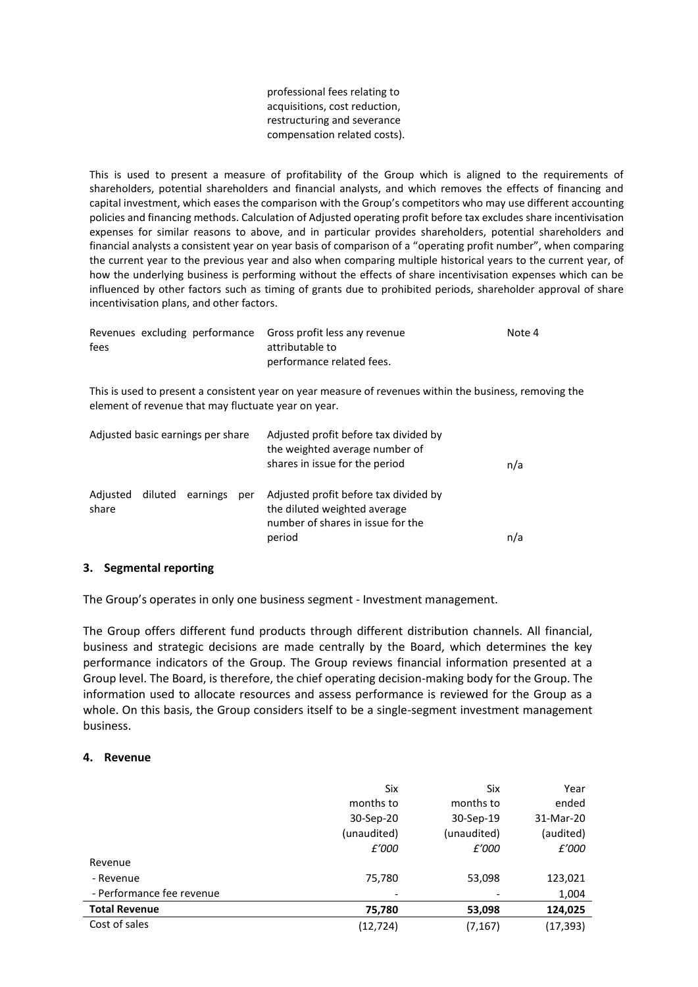professional fees relating to acquisitions, cost reduction, restructuring and severance compensation related costs).

This is used to present a measure of profitability of the Group which is aligned to the requirements of shareholders, potential shareholders and financial analysts, and which removes the effects of financing and capital investment, which eases the comparison with the Group's competitors who may use different accounting policies and financing methods. Calculation of Adjusted operating profit before tax excludes share incentivisation expenses for similar reasons to above, and in particular provides shareholders, potential shareholders and financial analysts a consistent year on year basis of comparison of a "operating profit number", when comparing the current year to the previous year and also when comparing multiple historical years to the current year, of how the underlying business is performing without the effects of share incentivisation expenses which can be influenced by other factors such as timing of grants due to prohibited periods, shareholder approval of share incentivisation plans, and other factors.

|      |  | Revenues excluding performance Gross profit less any revenue | Note 4 |
|------|--|--------------------------------------------------------------|--------|
| fees |  | attributable to                                              |        |
|      |  | performance related fees.                                    |        |

This is used to present a consistent year on year measure of revenues within the business, removing the element of revenue that may fluctuate year on year.

| Adjusted basic earnings per share |  |                  |     | Adjusted profit before tax divided by<br>the weighted average number of<br>shares in issue for the period            |     |
|-----------------------------------|--|------------------|-----|----------------------------------------------------------------------------------------------------------------------|-----|
| Adjusted<br>share                 |  | diluted earnings | per | Adjusted profit before tax divided by<br>the diluted weighted average<br>number of shares in issue for the<br>period | n/a |

## **3. Segmental reporting**

The Group's operates in only one business segment - Investment management.

The Group offers different fund products through different distribution channels. All financial, business and strategic decisions are made centrally by the Board, which determines the key performance indicators of the Group. The Group reviews financial information presented at a Group level. The Board, is therefore, the chief operating decision-making body for the Group. The information used to allocate resources and assess performance is reviewed for the Group as a whole. On this basis, the Group considers itself to be a single-segment investment management business.

### **4. Revenue**

|                           | Six         | Six         | Year      |
|---------------------------|-------------|-------------|-----------|
|                           | months to   | months to   | ended     |
|                           | 30-Sep-20   | 30-Sep-19   | 31-Mar-20 |
|                           | (unaudited) | (unaudited) | (audited) |
|                           | £'000       | £'000       | £'000     |
| Revenue                   |             |             |           |
| - Revenue                 | 75,780      | 53,098      | 123,021   |
| - Performance fee revenue |             |             | 1,004     |
| <b>Total Revenue</b>      | 75,780      | 53,098      | 124,025   |
| Cost of sales             | (12,724)    | (7, 167)    | (17, 393) |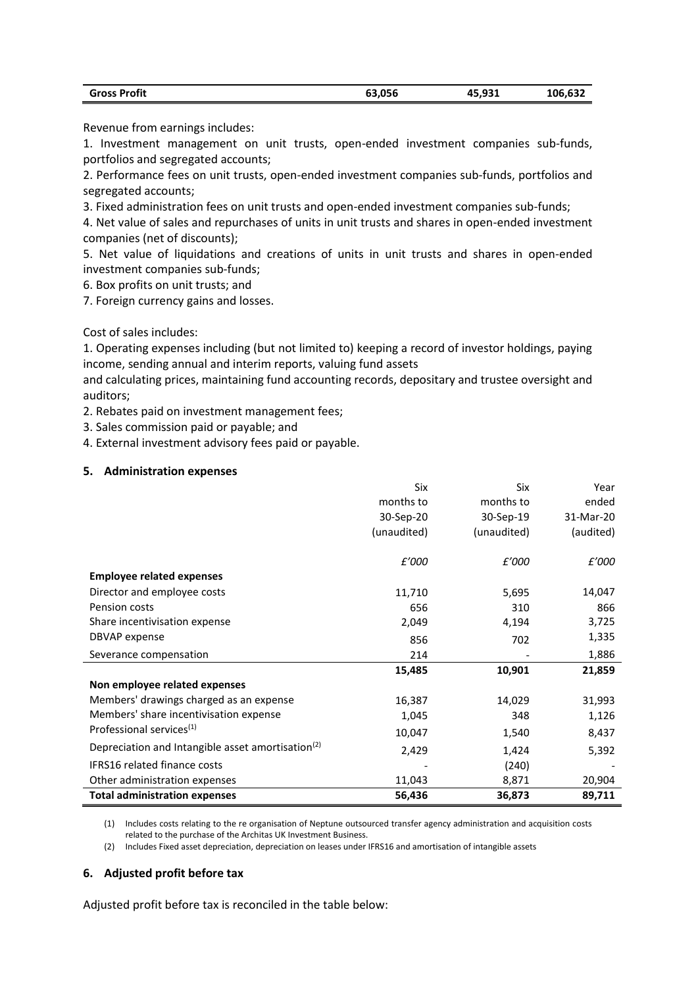| <b>Gross Profit</b> | 63,056 | 45,931 | 106,632 |
|---------------------|--------|--------|---------|
|---------------------|--------|--------|---------|

Revenue from earnings includes:

1. Investment management on unit trusts, open-ended investment companies sub-funds, portfolios and segregated accounts;

2. Performance fees on unit trusts, open-ended investment companies sub-funds, portfolios and segregated accounts;

3. Fixed administration fees on unit trusts and open-ended investment companies sub-funds;

4. Net value of sales and repurchases of units in unit trusts and shares in open-ended investment companies (net of discounts);

5. Net value of liquidations and creations of units in unit trusts and shares in open-ended investment companies sub-funds;

6. Box profits on unit trusts; and

7. Foreign currency gains and losses.

Cost of sales includes:

1. Operating expenses including (but not limited to) keeping a record of investor holdings, paying income, sending annual and interim reports, valuing fund assets

and calculating prices, maintaining fund accounting records, depositary and trustee oversight and auditors;

2. Rebates paid on investment management fees;

3. Sales commission paid or payable; and

4. External investment advisory fees paid or payable.

### **5. Administration expenses**

|                                                               | Six         | Six         | Year      |
|---------------------------------------------------------------|-------------|-------------|-----------|
|                                                               | months to   | months to   | ended     |
|                                                               | 30-Sep-20   | 30-Sep-19   | 31-Mar-20 |
|                                                               | (unaudited) | (unaudited) | (audited) |
|                                                               | £'000       | £'000       | £'000     |
| <b>Employee related expenses</b>                              |             |             |           |
| Director and employee costs                                   | 11,710      | 5,695       | 14,047    |
| Pension costs                                                 | 656         | 310         | 866       |
| Share incentivisation expense                                 | 2,049       | 4,194       | 3,725     |
| DBVAP expense                                                 | 856         | 702         | 1,335     |
| Severance compensation                                        | 214         |             | 1,886     |
|                                                               | 15,485      | 10,901      | 21,859    |
| Non employee related expenses                                 |             |             |           |
| Members' drawings charged as an expense                       | 16,387      | 14,029      | 31,993    |
| Members' share incentivisation expense                        | 1,045       | 348         | 1,126     |
| Professional services <sup>(1)</sup>                          | 10,047      | 1,540       | 8,437     |
| Depreciation and Intangible asset amortisation <sup>(2)</sup> | 2,429       | 1,424       | 5,392     |
| <b>IFRS16</b> related finance costs                           |             | (240)       |           |
| Other administration expenses                                 | 11,043      | 8,871       | 20,904    |
| <b>Total administration expenses</b>                          | 56,436      | 36,873      | 89,711    |

(1) Includes costs relating to the re organisation of Neptune outsourced transfer agency administration and acquisition costs related to the purchase of the Architas UK Investment Business.

(2) Includes Fixed asset depreciation, depreciation on leases under IFRS16 and amortisation of intangible assets

## **6. Adjusted profit before tax**

Adjusted profit before tax is reconciled in the table below: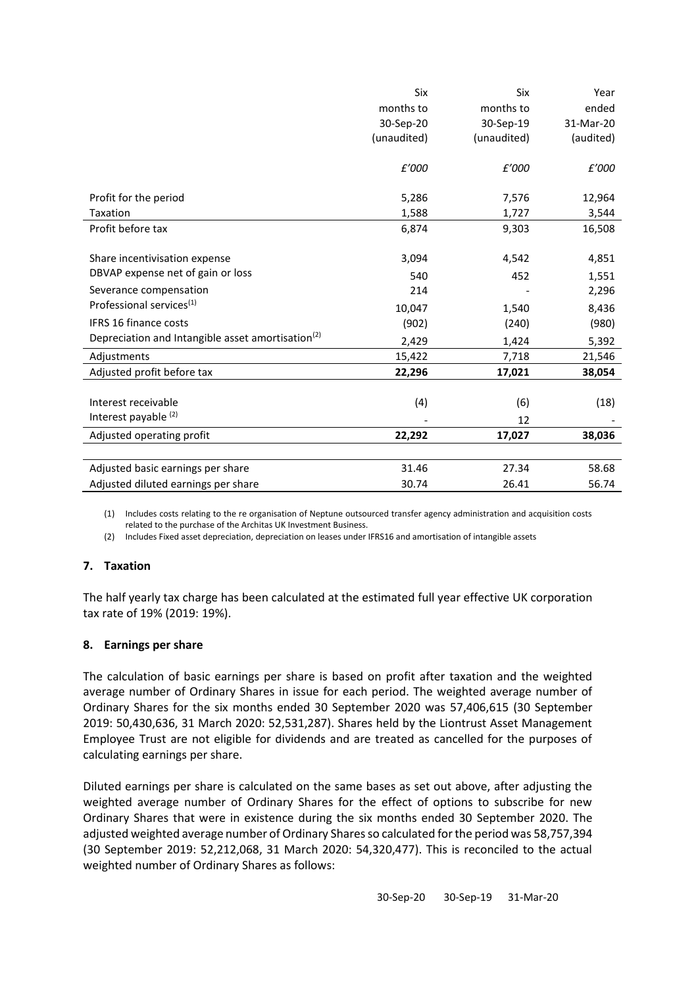| ended<br>months to<br>months to<br>30-Sep-20<br>30-Sep-19<br>31-Mar-20                   |
|------------------------------------------------------------------------------------------|
|                                                                                          |
|                                                                                          |
| (unaudited)<br>(unaudited)<br>(audited)                                                  |
|                                                                                          |
| £'000<br>£'000<br>£'000                                                                  |
|                                                                                          |
| Profit for the period<br>5,286<br>7,576<br>12,964                                        |
| 3,544<br><b>Taxation</b><br>1,588<br>1,727                                               |
| Profit before tax<br>9,303<br>6,874<br>16,508                                            |
|                                                                                          |
| 3,094<br>4,542<br>4,851<br>Share incentivisation expense                                 |
| DBVAP expense net of gain or loss<br>452<br>1,551<br>540                                 |
| Severance compensation<br>214<br>2,296                                                   |
| Professional services <sup>(1)</sup><br>10,047<br>8,436<br>1,540                         |
| <b>IFRS 16 finance costs</b><br>(902)<br>(980)<br>(240)                                  |
| Depreciation and Intangible asset amortisation <sup>(2)</sup><br>5,392<br>2,429<br>1,424 |
| Adjustments<br>15,422<br>7,718<br>21,546                                                 |
| Adjusted profit before tax<br>22,296<br>17,021<br>38,054                                 |
|                                                                                          |
| Interest receivable<br>(4)<br>(6)<br>(18)                                                |
| Interest payable (2)<br>12                                                               |
| Adjusted operating profit<br>22,292<br>17,027<br>38,036                                  |
|                                                                                          |
| 31.46<br>27.34<br>Adjusted basic earnings per share<br>58.68                             |
| Adjusted diluted earnings per share<br>26.41<br>56.74<br>30.74                           |

(1) Includes costs relating to the re organisation of Neptune outsourced transfer agency administration and acquisition costs related to the purchase of the Architas UK Investment Business.

(2) Includes Fixed asset depreciation, depreciation on leases under IFRS16 and amortisation of intangible assets

## **7. Taxation**

The half yearly tax charge has been calculated at the estimated full year effective UK corporation tax rate of 19% (2019: 19%).

## **8. Earnings per share**

The calculation of basic earnings per share is based on profit after taxation and the weighted average number of Ordinary Shares in issue for each period. The weighted average number of Ordinary Shares for the six months ended 30 September 2020 was 57,406,615 (30 September 2019: 50,430,636, 31 March 2020: 52,531,287). Shares held by the Liontrust Asset Management Employee Trust are not eligible for dividends and are treated as cancelled for the purposes of calculating earnings per share.

Diluted earnings per share is calculated on the same bases as set out above, after adjusting the weighted average number of Ordinary Shares for the effect of options to subscribe for new Ordinary Shares that were in existence during the six months ended 30 September 2020. The adjusted weighted average number of Ordinary Shares so calculated for the period was 58,757,394 (30 September 2019: 52,212,068, 31 March 2020: 54,320,477). This is reconciled to the actual weighted number of Ordinary Shares as follows: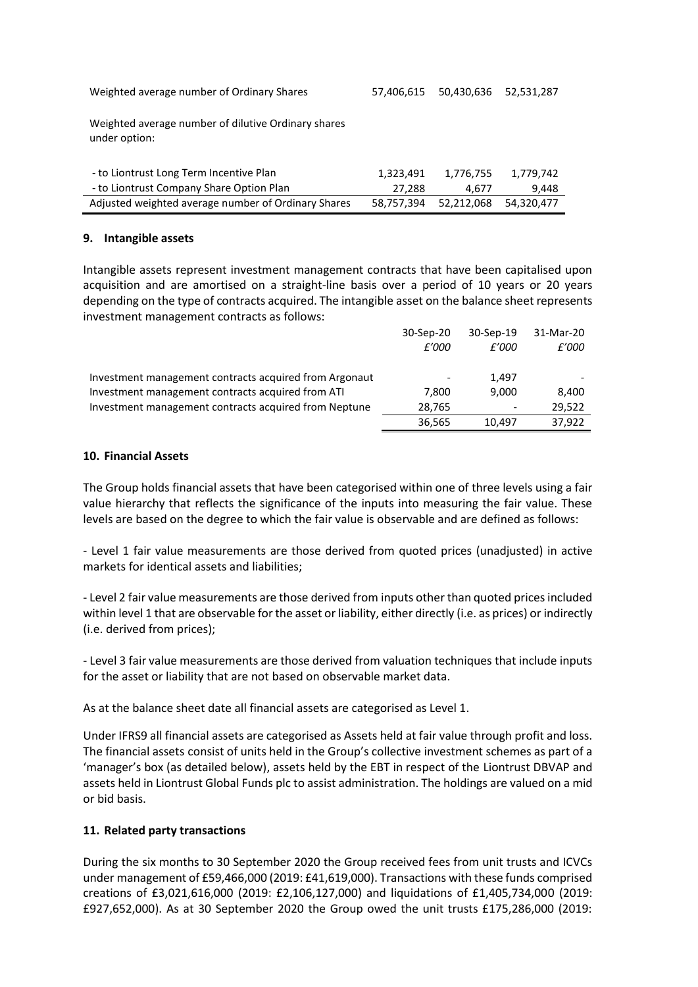Weighted average number of Ordinary Shares 57,406,615 50,430,636 52,531,287

Weighted average number of dilutive Ordinary shares under option:

| - to Liontrust Long Term Incentive Plan             | 1.323.491  | 1.776.755             | 1.779.742 |
|-----------------------------------------------------|------------|-----------------------|-----------|
| - to Liontrust Company Share Option Plan            | 27.288     | 4.677                 | 9.448     |
| Adjusted weighted average number of Ordinary Shares | 58.757.394 | 52,212,068 54,320,477 |           |

### **9. Intangible assets**

Intangible assets represent investment management contracts that have been capitalised upon acquisition and are amortised on a straight-line basis over a period of 10 years or 20 years depending on the type of contracts acquired. The intangible asset on the balance sheet represents investment management contracts as follows:

|                                                        | 30-Sep-20                | 30-Sep-19 | 31-Mar-20 |
|--------------------------------------------------------|--------------------------|-----------|-----------|
|                                                        | £'000                    | £'000     | £'000     |
| Investment management contracts acquired from Argonaut | $\overline{\phantom{a}}$ | 1.497     |           |
| Investment management contracts acquired from ATI      | 7.800                    | 9.000     | 8.400     |
| Investment management contracts acquired from Neptune  | 28,765                   |           | 29,522    |
|                                                        | 36,565                   | 10.497    | 37.922    |

### **10. Financial Assets**

The Group holds financial assets that have been categorised within one of three levels using a fair value hierarchy that reflects the significance of the inputs into measuring the fair value. These levels are based on the degree to which the fair value is observable and are defined as follows:

- Level 1 fair value measurements are those derived from quoted prices (unadjusted) in active markets for identical assets and liabilities;

- Level 2 fair value measurements are those derived from inputs other than quoted prices included within level 1 that are observable for the asset or liability, either directly (i.e. as prices) or indirectly (i.e. derived from prices);

- Level 3 fair value measurements are those derived from valuation techniques that include inputs for the asset or liability that are not based on observable market data.

As at the balance sheet date all financial assets are categorised as Level 1.

Under IFRS9 all financial assets are categorised as Assets held at fair value through profit and loss. The financial assets consist of units held in the Group's collective investment schemes as part of a 'manager's box (as detailed below), assets held by the EBT in respect of the Liontrust DBVAP and assets held in Liontrust Global Funds plc to assist administration. The holdings are valued on a mid or bid basis.

## **11. Related party transactions**

During the six months to 30 September 2020 the Group received fees from unit trusts and ICVCs under management of £59,466,000 (2019: £41,619,000). Transactions with these funds comprised creations of £3,021,616,000 (2019: £2,106,127,000) and liquidations of £1,405,734,000 (2019: £927,652,000). As at 30 September 2020 the Group owed the unit trusts £175,286,000 (2019: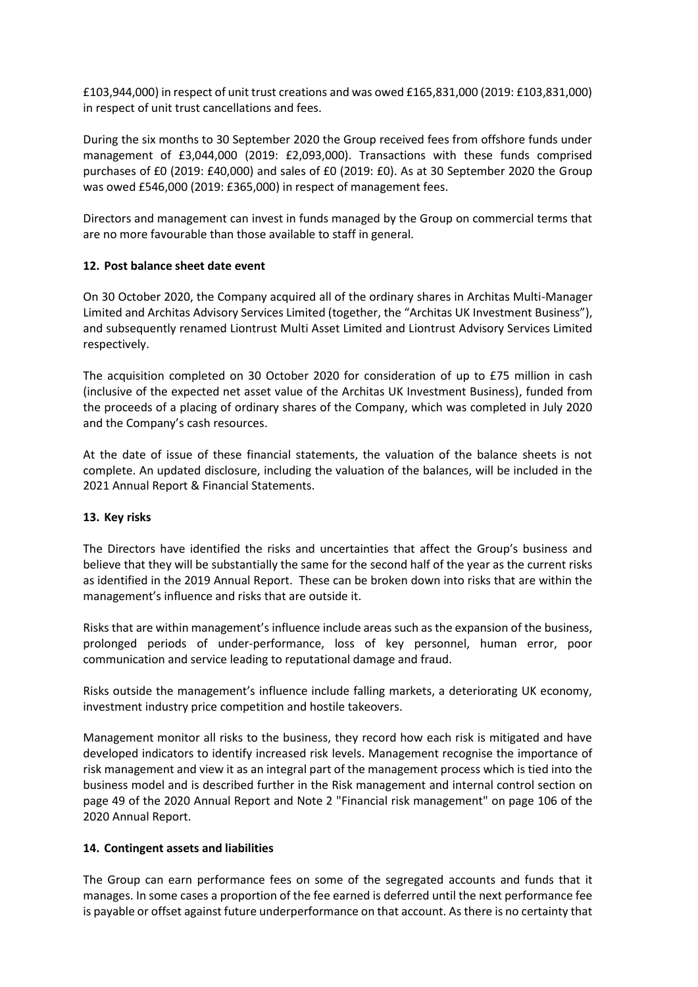£103,944,000) in respect of unit trust creations and was owed £165,831,000 (2019: £103,831,000) in respect of unit trust cancellations and fees.

During the six months to 30 September 2020 the Group received fees from offshore funds under management of £3,044,000 (2019: £2,093,000). Transactions with these funds comprised purchases of £0 (2019: £40,000) and sales of £0 (2019: £0). As at 30 September 2020 the Group was owed £546,000 (2019: £365,000) in respect of management fees.

Directors and management can invest in funds managed by the Group on commercial terms that are no more favourable than those available to staff in general.

## **12. Post balance sheet date event**

On 30 October 2020, the Company acquired all of the ordinary shares in Architas Multi-Manager Limited and Architas Advisory Services Limited (together, the "Architas UK Investment Business"), and subsequently renamed Liontrust Multi Asset Limited and Liontrust Advisory Services Limited respectively.

The acquisition completed on 30 October 2020 for consideration of up to £75 million in cash (inclusive of the expected net asset value of the Architas UK Investment Business), funded from the proceeds of a placing of ordinary shares of the Company, which was completed in July 2020 and the Company's cash resources.

At the date of issue of these financial statements, the valuation of the balance sheets is not complete. An updated disclosure, including the valuation of the balances, will be included in the 2021 Annual Report & Financial Statements.

## **13. Key risks**

The Directors have identified the risks and uncertainties that affect the Group's business and believe that they will be substantially the same for the second half of the year as the current risks as identified in the 2019 Annual Report. These can be broken down into risks that are within the management's influence and risks that are outside it.

Risks that are within management's influence include areas such as the expansion of the business, prolonged periods of under-performance, loss of key personnel, human error, poor communication and service leading to reputational damage and fraud.

Risks outside the management's influence include falling markets, a deteriorating UK economy, investment industry price competition and hostile takeovers.

Management monitor all risks to the business, they record how each risk is mitigated and have developed indicators to identify increased risk levels. Management recognise the importance of risk management and view it as an integral part of the management process which is tied into the business model and is described further in the Risk management and internal control section on page 49 of the 2020 Annual Report and Note 2 "Financial risk management" on page 106 of the 2020 Annual Report.

## **14. Contingent assets and liabilities**

The Group can earn performance fees on some of the segregated accounts and funds that it manages. In some cases a proportion of the fee earned is deferred until the next performance fee is payable or offset against future underperformance on that account. As there is no certainty that